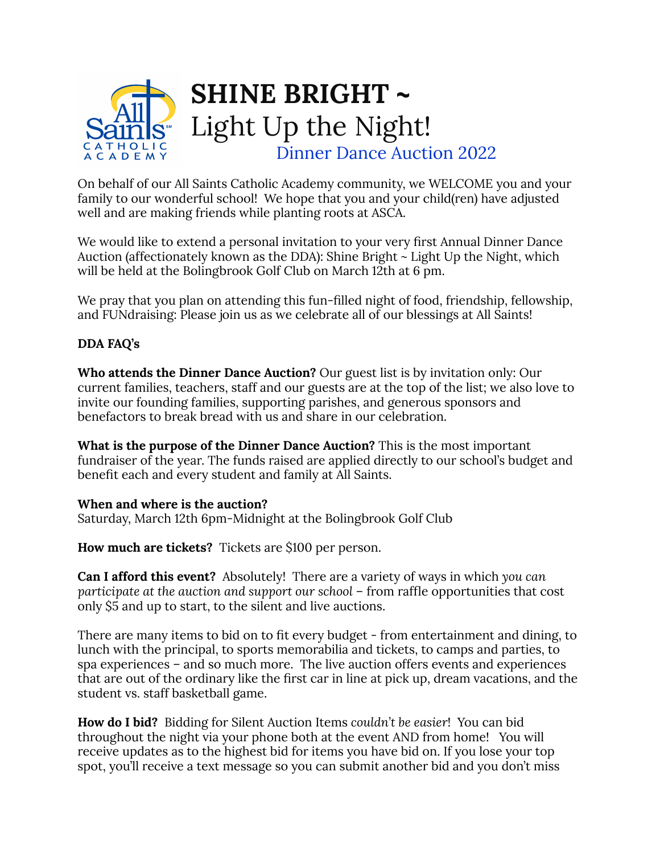

On behalf of our All Saints Catholic Academy community, we WELCOME you and your family to our wonderful school! We hope that you and your child(ren) have adjusted well and are making friends while planting roots at ASCA.

We would like to extend a personal invitation to your very first Annual Dinner Dance Auction (affectionately known as the DDA): Shine Bright ~ Light Up the Night, which will be held at the Bolingbrook Golf Club on March 12th at 6 pm.

We pray that you plan on attending this fun-filled night of food, friendship, fellowship, and FUNdraising: Please join us as we celebrate all of our blessings at All Saints!

## **DDA FAQ's**

**Who attends the Dinner Dance Auction?** Our guest list is by invitation only: Our current families, teachers, staff and our guests are at the top of the list; we also love to invite our founding families, supporting parishes, and generous sponsors and benefactors to break bread with us and share in our celebration.

**What is the purpose of the Dinner Dance Auction?** This is the most important fundraiser of the year. The funds raised are applied directly to our school's budget and benefit each and every student and family at All Saints.

## **When and where is the auction?**

Saturday, March 12th 6pm-Midnight at the Bolingbrook Golf Club

**How much are tickets?** Tickets are \$100 per person.

**Can I afford this event?** Absolutely! There are a variety of ways in which *you can participate at the auction and support our school* – from raffle opportunities that cost only \$5 and up to start, to the silent and live auctions.

There are many items to bid on to fit every budget - from entertainment and dining, to lunch with the principal, to sports memorabilia and tickets, to camps and parties, to spa experiences – and so much more. The live auction offers events and experiences that are out of the ordinary like the first car in line at pick up, dream vacations, and the student vs. staff basketball game.

**How do I bid?** Bidding for Silent Auction Items *couldn't be easier*! You can bid throughout the night via your phone both at the event AND from home! You will receive updates as to the highest bid for items you have bid on. If you lose your top spot, you'll receive a text message so you can submit another bid and you don't miss